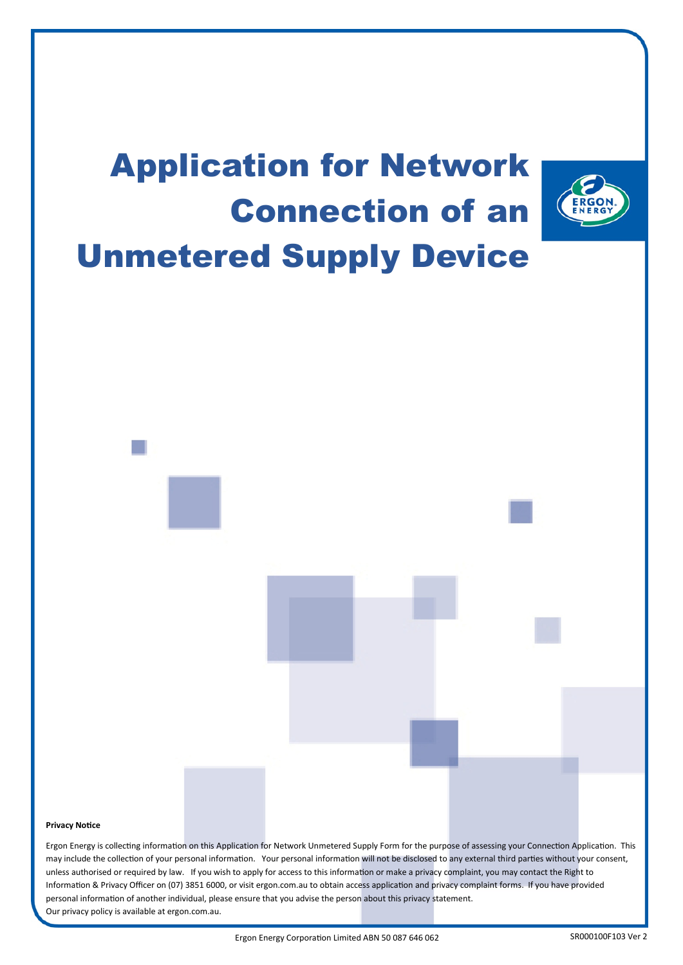

#### **Privacy Notice**

 may include the collection of your personal information. Your personal information will not be disclosed to any external third parties without your consent, unless authorised or required by law. If you wish to apply for access to this information or make a privacy complaint, you may contact the Right to Information & Privacy Officer on (07) 3851 6000, or visit ergon.com.au to obtain access application and privacy complaint forms. If you have provided Ergon Energy is collecting information on this Application for Network Unmetered Supply Form for the purpose of assessing your Connection Application. This personal information of another individual, please ensure that you advise the person about this privacy statement. Our privacy policy is available at ergon.com.au.

Ergon Energy Corporation Limited ABN 50 087 646 062 SR000100F103 Ver 2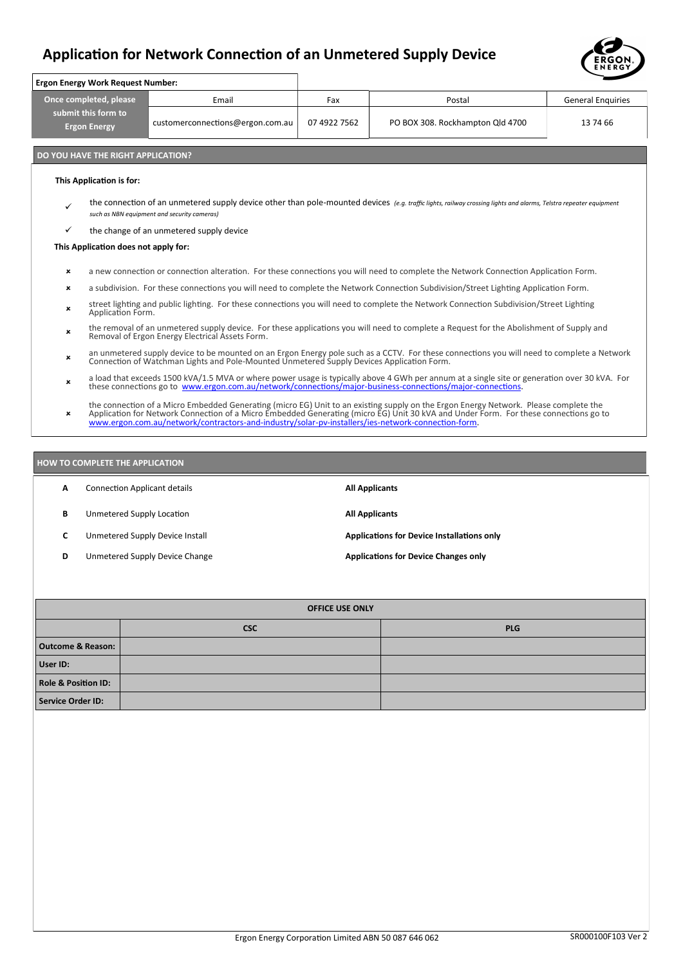

|                                                                      |                                                                                                                                                                                                                                                            |                                                  |     |                                  | ENERGY                   |  |
|----------------------------------------------------------------------|------------------------------------------------------------------------------------------------------------------------------------------------------------------------------------------------------------------------------------------------------------|--------------------------------------------------|-----|----------------------------------|--------------------------|--|
|                                                                      | <b>Ergon Energy Work Request Number:</b>                                                                                                                                                                                                                   |                                                  |     |                                  |                          |  |
| Once completed, please<br>submit this form to<br><b>Ergon Energy</b> |                                                                                                                                                                                                                                                            | Email                                            | Fax | Postal                           | <b>General Enquiries</b> |  |
|                                                                      |                                                                                                                                                                                                                                                            | 07 4922 7562<br>customerconnections@ergon.com.au |     | PO BOX 308. Rockhampton Qld 4700 | 13 74 66                 |  |
|                                                                      | DO YOU HAVE THE RIGHT APPLICATION?                                                                                                                                                                                                                         |                                                  |     |                                  |                          |  |
|                                                                      | This Application is for:                                                                                                                                                                                                                                   |                                                  |     |                                  |                          |  |
| $\checkmark$                                                         | the connection of an unmetered supply device other than pole-mounted devices (e.g. traffic lights, railway crossing lights and alarms, Telstra repeater equipment<br>such as NBN equipment and security cameras)                                           |                                                  |     |                                  |                          |  |
| ✓                                                                    | the change of an unmetered supply device                                                                                                                                                                                                                   |                                                  |     |                                  |                          |  |
|                                                                      | This Application does not apply for:                                                                                                                                                                                                                       |                                                  |     |                                  |                          |  |
| $\boldsymbol{\mathsf{x}}$                                            | a new connection or connection alteration. For these connections you will need to complete the Network Connection Application Form.                                                                                                                        |                                                  |     |                                  |                          |  |
| ×                                                                    | a subdivision. For these connections you will need to complete the Network Connection Subdivision/Street Lighting Application Form.                                                                                                                        |                                                  |     |                                  |                          |  |
| $\boldsymbol{\mathsf{x}}$                                            | street lighting and public lighting. For these connections you will need to complete the Network Connection Subdivision/Street Lighting<br>Application Form.                                                                                               |                                                  |     |                                  |                          |  |
| $\boldsymbol{\mathsf{x}}$                                            | the removal of an unmetered supply device. For these applications you will need to complete a Request for the Abolishment of Supply and<br>Removal of Ergon Energy Electrical Assets Form.                                                                 |                                                  |     |                                  |                          |  |
| $\boldsymbol{\mathsf{x}}$                                            | an unmetered supply device to be mounted on an Ergon Energy pole such as a CCTV. For these connections you will need to complete a Network<br>Connection of Watchman Lights and Pole-Mounted Unmetered Supply Devices Application Form.                    |                                                  |     |                                  |                          |  |
| $\boldsymbol{\mathsf{x}}$                                            | a load that exceeds 1500 kVA/1.5 MVA or where power usage is typically above 4 GWh per annum at a single site or generation over 30 kVA. For<br>these connections go to www.ergon.com.au/network/connections/major-business-connections/major-connections. |                                                  |     |                                  |                          |  |

the connection of a Micro Embedded Generating (micro EG) Unit to an existing supply on the Ergon Energy Network. Please complete the<br>Application for Network Connection of a Micro Embedded Generating (micro EG) Unit 30 kVA

#### **HOW TO COMPLETE THE APPLICATION**

| A | <b>Connection Applicant details</b> | <b>All Applicants</b>                             |
|---|-------------------------------------|---------------------------------------------------|
| в | Unmetered Supply Location           | <b>All Applicants</b>                             |
|   | Unmetered Supply Device Install     | <b>Applications for Device Installations only</b> |
| D | Unmetered Supply Device Change      | <b>Applications for Device Changes only</b>       |

| <b>OFFICE USE ONLY</b>         |            |            |  |  |
|--------------------------------|------------|------------|--|--|
|                                | <b>CSC</b> | <b>PLG</b> |  |  |
| <b>Outcome &amp; Reason:</b>   |            |            |  |  |
| User ID:                       |            |            |  |  |
| <b>Role &amp; Position ID:</b> |            |            |  |  |
| Service Order ID:              |            |            |  |  |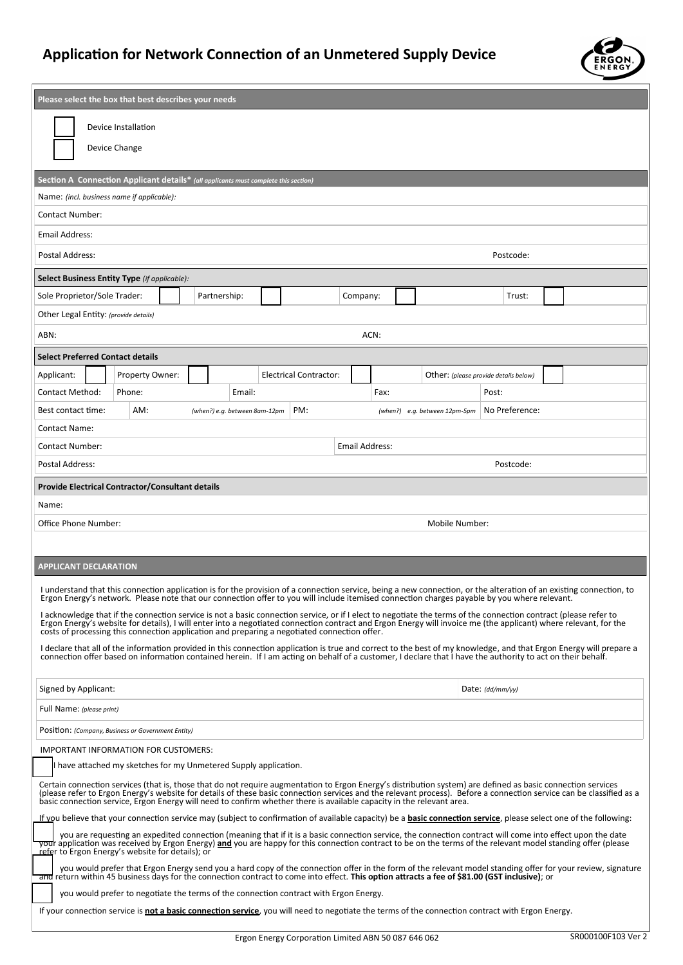

| Please select the box that best describes your needs                                                                                                                                                                                                                                                                                                                                                                                                          |  |  |  |  |  |
|---------------------------------------------------------------------------------------------------------------------------------------------------------------------------------------------------------------------------------------------------------------------------------------------------------------------------------------------------------------------------------------------------------------------------------------------------------------|--|--|--|--|--|
| Device Installation                                                                                                                                                                                                                                                                                                                                                                                                                                           |  |  |  |  |  |
|                                                                                                                                                                                                                                                                                                                                                                                                                                                               |  |  |  |  |  |
| Device Change                                                                                                                                                                                                                                                                                                                                                                                                                                                 |  |  |  |  |  |
| Section A Connection Applicant details* (all applicants must complete this section)                                                                                                                                                                                                                                                                                                                                                                           |  |  |  |  |  |
| Name: (incl. business name if applicable):                                                                                                                                                                                                                                                                                                                                                                                                                    |  |  |  |  |  |
| <b>Contact Number:</b>                                                                                                                                                                                                                                                                                                                                                                                                                                        |  |  |  |  |  |
| Email Address:                                                                                                                                                                                                                                                                                                                                                                                                                                                |  |  |  |  |  |
| Postal Address:<br>Postcode:                                                                                                                                                                                                                                                                                                                                                                                                                                  |  |  |  |  |  |
| Select Business Entity Type (if applicable):                                                                                                                                                                                                                                                                                                                                                                                                                  |  |  |  |  |  |
| Sole Proprietor/Sole Trader:<br>Partnership:<br>Company:<br>Trust:                                                                                                                                                                                                                                                                                                                                                                                            |  |  |  |  |  |
| Other Legal Entity: (provide details)                                                                                                                                                                                                                                                                                                                                                                                                                         |  |  |  |  |  |
| ACN:<br>ABN:                                                                                                                                                                                                                                                                                                                                                                                                                                                  |  |  |  |  |  |
| <b>Select Preferred Contact details</b>                                                                                                                                                                                                                                                                                                                                                                                                                       |  |  |  |  |  |
| Applicant:<br>Property Owner:<br><b>Electrical Contractor:</b><br>Other: (please provide details below)                                                                                                                                                                                                                                                                                                                                                       |  |  |  |  |  |
| Contact Method:<br>Phone:<br>Email:<br>Fax:<br>Post:                                                                                                                                                                                                                                                                                                                                                                                                          |  |  |  |  |  |
| AM:<br>PM:<br>No Preference:<br>Best contact time:<br>(when?) e.g. between 8am-12pm<br>(when?) e.g. between 12pm-5pm                                                                                                                                                                                                                                                                                                                                          |  |  |  |  |  |
| Contact Name:                                                                                                                                                                                                                                                                                                                                                                                                                                                 |  |  |  |  |  |
| <b>Email Address:</b><br><b>Contact Number:</b>                                                                                                                                                                                                                                                                                                                                                                                                               |  |  |  |  |  |
| Postcode:<br>Postal Address:                                                                                                                                                                                                                                                                                                                                                                                                                                  |  |  |  |  |  |
| <b>Provide Electrical Contractor/Consultant details</b>                                                                                                                                                                                                                                                                                                                                                                                                       |  |  |  |  |  |
| Name:                                                                                                                                                                                                                                                                                                                                                                                                                                                         |  |  |  |  |  |
| Office Phone Number:<br>Mobile Number:                                                                                                                                                                                                                                                                                                                                                                                                                        |  |  |  |  |  |
|                                                                                                                                                                                                                                                                                                                                                                                                                                                               |  |  |  |  |  |
| <b>APPLICANT DECLARATION</b>                                                                                                                                                                                                                                                                                                                                                                                                                                  |  |  |  |  |  |
| I understand that this connection application is for the provision of a connection service, being a new connection, or the alteration of an existing connection, to<br>Ergon Energy's network. Please note that our connection offer to you will include itemised connection charges payable by you where relevant.                                                                                                                                           |  |  |  |  |  |
| I acknowledge that if the connection service is not a basic connection service, or if I elect to negotiate the terms of the connection contract (please refer to<br>Ergon Energy's website for details), I will enter into a negotiated connection contract and Ergon Energy will invoice me (the applicant) where relevant, for the<br>costs of processing this connection application and preparing a negotiated connection offer.                          |  |  |  |  |  |
| I declare that all of the information provided in this connection application is true and correct to the best of my knowledge, and that Ergon Energy will prepare a connection offer based on information contained herein. If                                                                                                                                                                                                                                |  |  |  |  |  |
|                                                                                                                                                                                                                                                                                                                                                                                                                                                               |  |  |  |  |  |
| Signed by Applicant:<br>Date: (dd/mm/yy)                                                                                                                                                                                                                                                                                                                                                                                                                      |  |  |  |  |  |
| Full Name: (please print)                                                                                                                                                                                                                                                                                                                                                                                                                                     |  |  |  |  |  |
| POSITION: (Company, Business or Government Entity)                                                                                                                                                                                                                                                                                                                                                                                                            |  |  |  |  |  |
| IMPORTANT INFORMATION FOR CUSTOMERS:                                                                                                                                                                                                                                                                                                                                                                                                                          |  |  |  |  |  |
| I have attached my sketches for my Unmetered Supply application.                                                                                                                                                                                                                                                                                                                                                                                              |  |  |  |  |  |
| Certain connection services (that is, those that do not require augmentation to Ergon Energy's distribution system) are defined as basic connection services<br>(please refer to Ergon Energy's website for details of these basic connection services and the relevant process). Before a connection service can be classified as a<br>basic connection service, Ergon Energy will need to confirm whether there is available capacity in the relevant area. |  |  |  |  |  |
| If you believe that your connection service may (subject to confirmation of available capacity) be a <b>basic connection service</b> , please select one of the following:                                                                                                                                                                                                                                                                                    |  |  |  |  |  |
| you are requesting an expedited connection (meaning that if it is a basic connection service, the connection contract will come into effect upon the date<br>your application was received by Ergon Energy) and you are happy for this connection contract to be on the terms of the relevant model standing offer (please<br>refer to Ergon Energy's website for details); or                                                                                |  |  |  |  |  |
| you would prefer that Ergon Energy send you a hard copy of the connection offer in the form of the relevant model standing offer for your review, signature<br>and return within 45 business days for the connection contract to come into effect. This option attracts a fee of \$81.00 (GST inclusive); or                                                                                                                                                  |  |  |  |  |  |
| you would prefer to negotiate the terms of the connection contract with Ergon Energy.                                                                                                                                                                                                                                                                                                                                                                         |  |  |  |  |  |
| If your connection service is not a basic connection service, you will need to negotiate the terms of the connection contract with Ergon Energy.                                                                                                                                                                                                                                                                                                              |  |  |  |  |  |